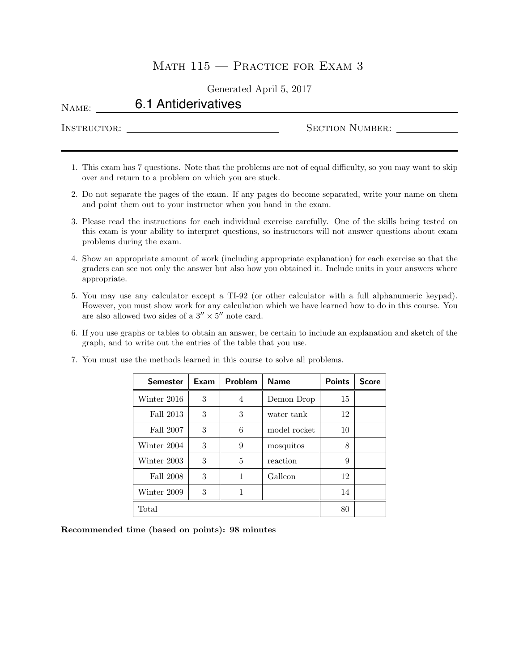## MATH  $115$  – PRACTICE FOR EXAM 3

Generated April 5, 2017

| NAME:       | 6.1 Antiderivatives |                        |  |
|-------------|---------------------|------------------------|--|
| INSTRUCTOR: |                     | <b>SECTION NUMBER:</b> |  |

- 1. This exam has 7 questions. Note that the problems are not of equal difficulty, so you may want to skip over and return to a problem on which you are stuck.
- 2. Do not separate the pages of the exam. If any pages do become separated, write your name on them and point them out to your instructor when you hand in the exam.
- 3. Please read the instructions for each individual exercise carefully. One of the skills being tested on this exam is your ability to interpret questions, so instructors will not answer questions about exam problems during the exam.
- 4. Show an appropriate amount of work (including appropriate explanation) for each exercise so that the graders can see not only the answer but also how you obtained it. Include units in your answers where appropriate.
- 5. You may use any calculator except a TI-92 (or other calculator with a full alphanumeric keypad). However, you must show work for any calculation which we have learned how to do in this course. You are also allowed two sides of a  $3'' \times 5''$  note card.
- 6. If you use graphs or tables to obtain an answer, be certain to include an explanation and sketch of the graph, and to write out the entries of the table that you use.

| <b>Semester</b> | Exam | Problem      | <b>Name</b>  | <b>Points</b> | <b>Score</b> |
|-----------------|------|--------------|--------------|---------------|--------------|
| Winter 2016     | 3    | 4            | Demon Drop   | 15            |              |
| Fall 2013       | 3    | 3            | water tank   | 12            |              |
| Fall 2007       | 3    | 6            | model rocket | 10            |              |
| Winter 2004     | 3    | 9            | mosquitos    | 8             |              |
| Winter 2003     | 3    | 5            | reaction     | 9             |              |
| Fall 2008       | 3    | $\mathbf{1}$ | Galleon      | 12            |              |
| Winter 2009     | 3    | 1            |              | 14            |              |
| Total           | 80   |              |              |               |              |

7. You must use the methods learned in this course to solve all problems.

Recommended time (based on points): 98 minutes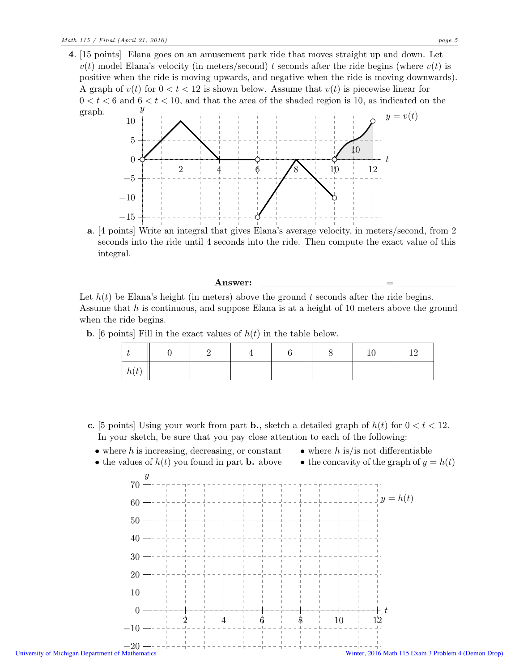4. [15 points] Elana goes on an amusement park ride that moves straight up and down. Let  $v(t)$  model Elana's velocity (in meters/second) t seconds after the ride begins (where  $v(t)$  is positive when the ride is moving upwards, and negative when the ride is moving downwards). A graph of  $v(t)$  for  $0 < t < 12$  is shown below. Assume that  $v(t)$  is piecewise linear for  $0 < t < 6$  and  $6 < t < 10$ , and that the area of the shaded region is 10, as indicated on the graph.  $\hat{y}$ 



a. [4 points] Write an integral that gives Elana's average velocity, in meters/second, from 2 seconds into the ride until 4 seconds into the ride. Then compute the exact value of this integral.

## Answer:

Let  $h(t)$  be Elana's height (in meters) above the ground t seconds after the ride begins. Assume that  $h$  is continuous, and suppose Elana is at a height of 10 meters above the ground when the ride begins.

**b.** [6 points] Fill in the exact values of  $h(t)$  in the table below.

|      |  |  | 10 | 1 <sub>0</sub> |
|------|--|--|----|----------------|
| h(t) |  |  |    |                |

- c. [5 points] Using your work from part **b.**, sketch a detailed graph of  $h(t)$  for  $0 < t < 12$ . In your sketch, be sure that you pay close attention to each of the following:
- $\bullet$  where h is increasing, decreasing, or constant
- where  $h$  is/is not differentiable
- the values of  $h(t)$  you found in part **b.** above • the concavity of the graph of  $y = h(t)$

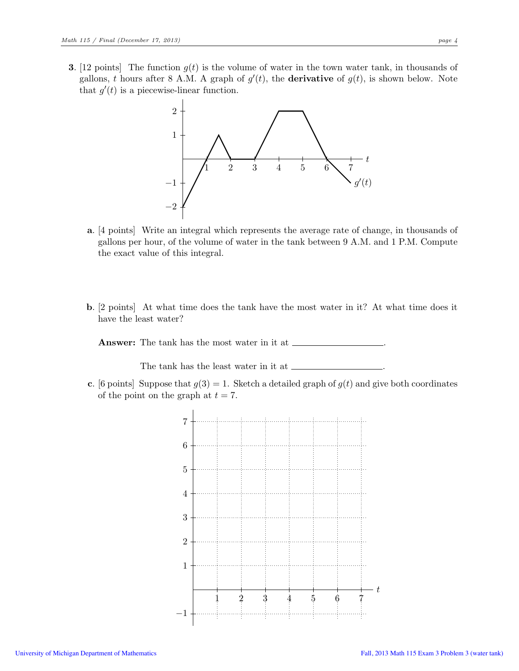**3.** [12 points] The function  $g(t)$  is the volume of water in the town water tank, in thousands of gallons, t hours after 8 A.M. A graph of  $g'(t)$ , the **derivative** of  $g(t)$ , is shown below. Note that  $g'(t)$  is a piecewise-linear function.



- a. [4 points] Write an integral which represents the average rate of change, in thousands of gallons per hour, of the volume of water in the tank between 9 A.M. and 1 P.M. Compute the exact value of this integral.
- b. [2 points] At what time does the tank have the most water in it? At what time does it have the least water?

Answer: The tank has the most water in it at .

The tank has the least water in it at  $\equiv$ 

c. [6 points] Suppose that  $g(3) = 1$ . Sketch a detailed graph of  $g(t)$  and give both coordinates of the point on the graph at  $t = 7$ .

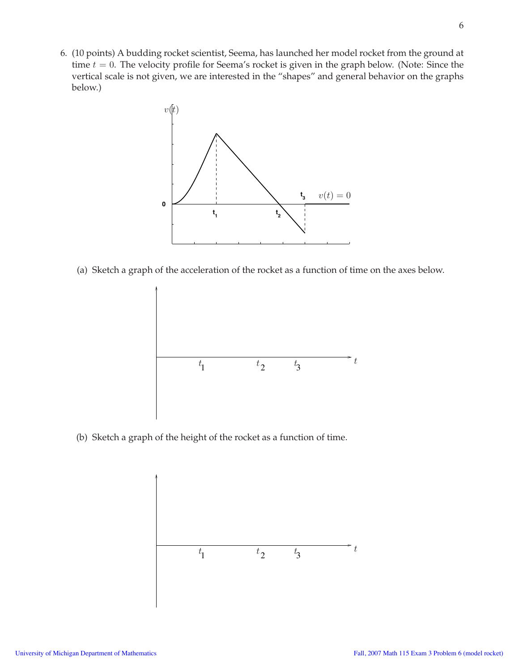6. (10 points) A budding rocket scientist, Seema, has launched her model rocket from the ground at time  $t = 0$ . The velocity profile for Seema's rocket is given in the graph below. (Note: Since the vertical scale is not given, we are interested in the "shapes" and general behavior on the graphs below.)



(a) Sketch a graph of the acceleration of the rocket as a function of time on the axes below.



(b) Sketch a graph of the height of the rocket as a function of time.

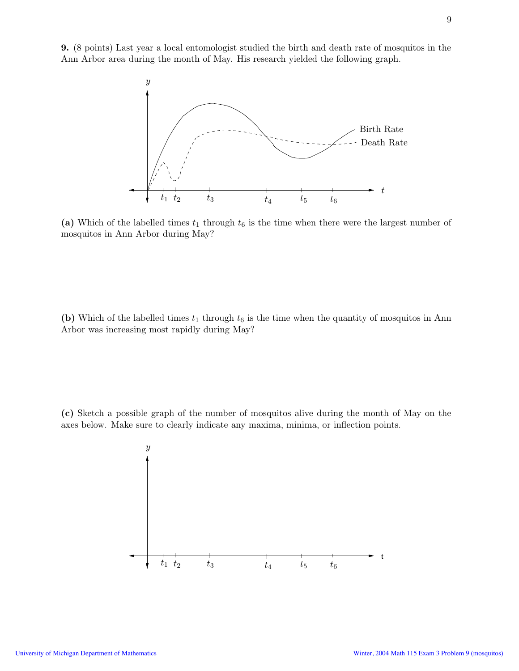9. (8 points) Last year a local entomologist studied the birth and death rate of mosquitos in the Ann Arbor area during the month of May. His research yielded the following graph.



(a) Which of the labelled times  $t_1$  through  $t_6$  is the time when there were the largest number of mosquitos in Ann Arbor during May?

(b) Which of the labelled times  $t_1$  through  $t_6$  is the time when the quantity of mosquitos in Ann Arbor was increasing most rapidly during May?

(c) Sketch a possible graph of the number of mosquitos alive during the month of May on the axes below. Make sure to clearly indicate any maxima, minima, or inflection points.

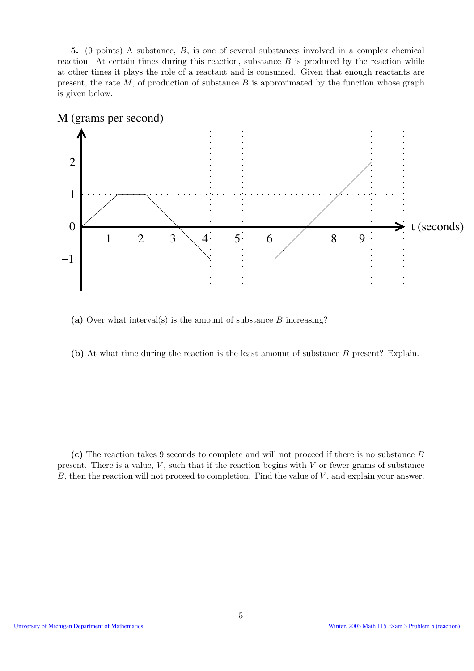5. (9 points) A substance, B, is one of several substances involved in a complex chemical reaction. At certain times during this reaction, substance  $B$  is produced by the reaction while at other times it plays the role of a reactant and is consumed. Given that enough reactants are present, the rate  $M$ , of production of substance  $B$  is approximated by the function whose graph is given below.



(a) Over what interval(s) is the amount of substance  $B$  increasing?

(b) At what time during the reaction is the least amount of substance B present? Explain.

(c) The reaction takes 9 seconds to complete and will not proceed if there is no substance B present. There is a value,  $V$ , such that if the reaction begins with  $V$  or fewer grams of substance B, then the reaction will not proceed to completion. Find the value of  $V$ , and explain your answer.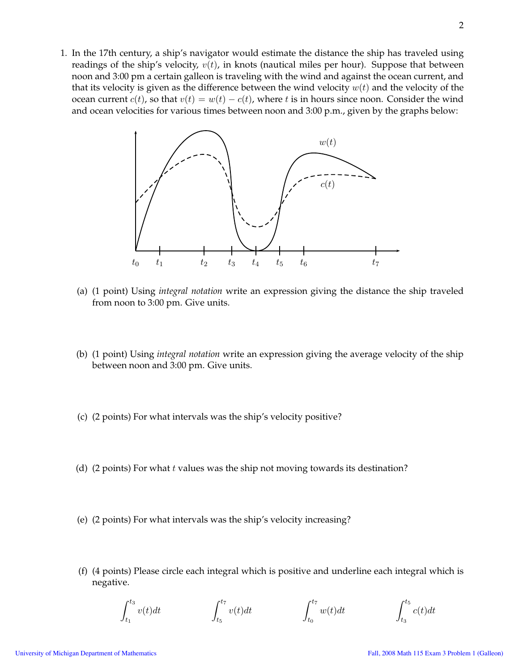1. In the 17th century, a ship's navigator would estimate the distance the ship has traveled using readings of the ship's velocity,  $v(t)$ , in knots (nautical miles per hour). Suppose that between noon and 3:00 pm a certain galleon is traveling with the wind and against the ocean current, and that its velocity is given as the difference between the wind velocity  $w(t)$  and the velocity of the ocean current  $c(t)$ , so that  $v(t) = w(t) - c(t)$ , where t is in hours since noon. Consider the wind and ocean velocities for various times between noon and 3:00 p.m., given by the graphs below:



- (a) (1 point) Using *integral notation* write an expression giving the distance the ship traveled from noon to 3:00 pm. Give units.
- (b) (1 point) Using *integral notation* write an expression giving the average velocity of the ship between noon and 3:00 pm. Give units.
- (c) (2 points) For what intervals was the ship's velocity positive?
- (d) (2 points) For what  $t$  values was the ship not moving towards its destination?
- (e) (2 points) For what intervals was the ship's velocity increasing?
- (f) (4 points) Please circle each integral which is positive and underline each integral which is negative.

$$
\int_{t_1}^{t_3} v(t)dt \qquad \qquad \int_{t_5}^{t_7} v(t)dt \qquad \qquad \int_{t_0}^{t_7} w(t)dt \qquad \qquad \int_{t_3}^{t_5} c(t)dt
$$